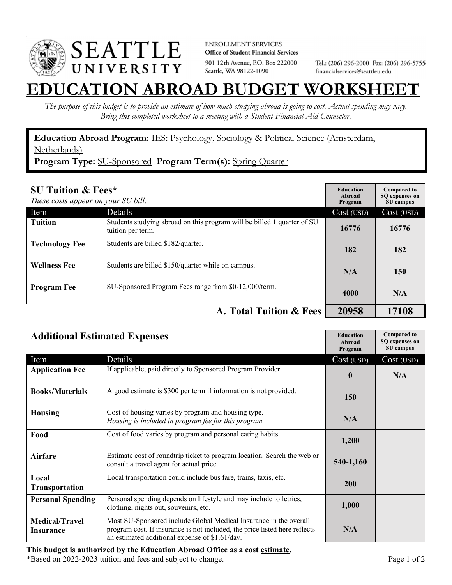

**ENROLLMENT SERVICES** Office of Student Financial Services 901 12th Avenue, P.O. Box 222000 Seattle, WA 98122-1090

Tel.: (206) 296-2000 Fax: (206) 296-5755 financialservices@seattleu.edu

## **EATION ABROAD BUDGET WORKSHEI**

*The purpose of this budget is to provide an estimate of how much studying abroad is going to cost. Actual spending may vary. Bring this completed worksheet to a meeting with a Student Financial Aid Counselor.* 

**Education Abroad Program:** IES: Psychology, Sociology & Political Science (Amsterdam, Netherlands)

**Program Type:** SU-Sponsored **Program Term(s):** Spring Quarter

| <b>SU Tuition &amp; Fees*</b><br>These costs appear on your SU bill. |                                                                                              | <b>Education</b><br>Abroad<br>Program | <b>Compared to</b><br>SO expenses on<br>SU campus |
|----------------------------------------------------------------------|----------------------------------------------------------------------------------------------|---------------------------------------|---------------------------------------------------|
| Item                                                                 | <b>Details</b>                                                                               | Cost (USD)                            | Cost (USD)                                        |
| <b>Tuition</b>                                                       | Students studying abroad on this program will be billed 1 quarter of SU<br>tuition per term. | 16776                                 | 16776                                             |
| <b>Technology Fee</b>                                                | Students are billed \$182/quarter.                                                           | 182                                   | 182                                               |
| <b>Wellness Fee</b>                                                  | Students are billed \$150/quarter while on campus.                                           | N/A                                   | 150                                               |
| <b>Program Fee</b>                                                   | SU-Sponsored Program Fees range from \$0-12,000/term.                                        | 4000                                  | N/A                                               |
|                                                                      | A. Total Tuition & Fees                                                                      | 20958                                 | 17108                                             |

| <b>Additional Estimated Expenses</b> | <b>Education</b> |
|--------------------------------------|------------------|
|                                      | $\Delta$ 1. 1    |

| платионат потпитель пареносо       |                                                                                                                                                                                                   | Abroad<br>Program | SQ expenses on<br>SU campus |
|------------------------------------|---------------------------------------------------------------------------------------------------------------------------------------------------------------------------------------------------|-------------------|-----------------------------|
| Item                               | Details                                                                                                                                                                                           | Cost (USD)        | Cost (USD)                  |
| <b>Application Fee</b>             | If applicable, paid directly to Sponsored Program Provider.                                                                                                                                       | $\mathbf{0}$      | N/A                         |
| <b>Books/Materials</b>             | A good estimate is \$300 per term if information is not provided.                                                                                                                                 | <b>150</b>        |                             |
| <b>Housing</b>                     | Cost of housing varies by program and housing type.<br>Housing is included in program fee for this program.                                                                                       | N/A               |                             |
| Food                               | Cost of food varies by program and personal eating habits.                                                                                                                                        | 1,200             |                             |
| <b>Airfare</b>                     | Estimate cost of roundtrip ticket to program location. Search the web or<br>consult a travel agent for actual price.                                                                              | 540-1,160         |                             |
| Local<br><b>Transportation</b>     | Local transportation could include bus fare, trains, taxis, etc.                                                                                                                                  | 200               |                             |
| <b>Personal Spending</b>           | Personal spending depends on lifestyle and may include toiletries,<br>clothing, nights out, souvenirs, etc.                                                                                       | 1,000             |                             |
| <b>Medical/Travel</b><br>Insurance | Most SU-Sponsored include Global Medical Insurance in the overall<br>program cost. If insurance is not included, the price listed here reflects<br>an estimated additional expense of \$1.61/day. | N/A               |                             |

\*Based on 2022-2023 tuition and fees and subject to change. Page 1 of 2

**Compared to**